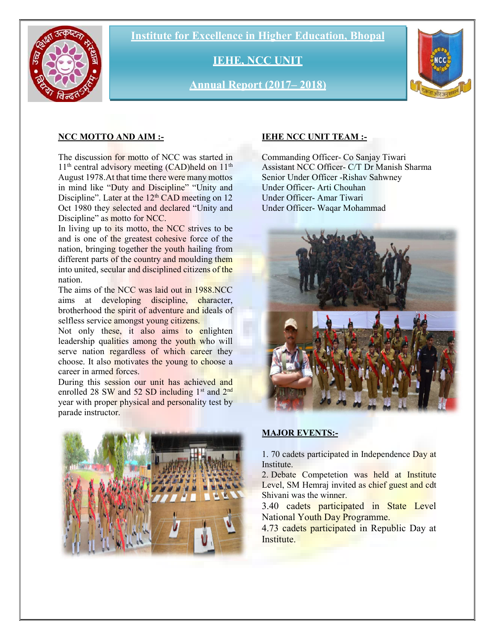Institute for Excellence in Higher Education, Bhopal



IEHE, NCC UNIT

Annual Report (2017– 2018)



## NCC MOTTO AND AIM :-

The discussion for motto of NCC was started in  $11<sup>th</sup>$  central advisory meeting (CAD)held on  $11<sup>th</sup>$ August 1978.At that time there were many mottos in mind like "Duty and Discipline" "Unity and Discipline". Later at the  $12<sup>th</sup>$  CAD meeting on 12 Oct 1980 they selected and declared "Unity and Discipline" as motto for NCC.

In living up to its motto, the NCC strives to be and is one of the greatest cohesive force of the nation, bringing together the youth hailing from different parts of the country and moulding them into united, secular and disciplined citizens of the nation.

The aims of the NCC was laid out in 1988.NCC aims at developing discipline, character, brotherhood the spirit of adventure and ideals of selfless service amongst young citizens.

Not only these, it also aims to enlighten leadership qualities among the youth who will serve nation regardless of which career they choose. It also motivates the young to choose a career in armed forces.

During this session our unit has achieved and enrolled 28 SW and 52 SD including  $1<sup>st</sup>$  and  $2<sup>nd</sup>$ year with proper physical and personality test by parade instructor.



## IEHE NCC UNIT TEAM :-

Commanding Officer- Co Sanjay Tiwari Assistant NCC Officer- C/T Dr Manish Sharma Senior Under Officer -Rishav Sahwney Under Officer- Arti Chouhan Under Officer- Amar Tiwari Under Officer- Waqar Mohammad



## MAJOR EVENTS:-

1. 70 cadets participated in Independence Day at Institute.

2. Debate Competetion was held at Institute Level, SM Hemraj invited as chief guest and cdt Shivani was the winner.

3.40 cadets participated in State Level National Youth Day Programme.

4.73 cadets participated in Republic Day at Institute.